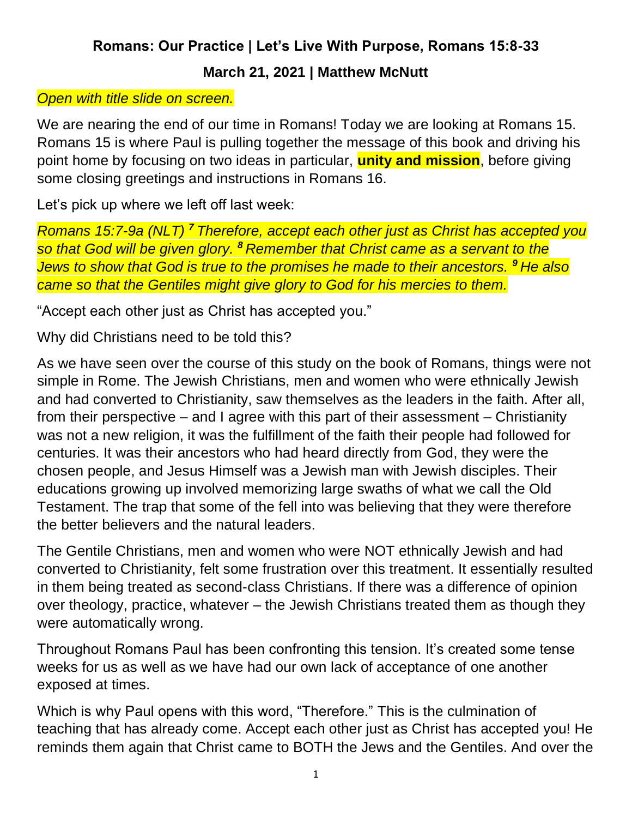## **Romans: Our Practice | Let's Live With Purpose, Romans 15:8-33**

## **March 21, 2021 | Matthew McNutt**

## *Open with title slide on screen.*

We are nearing the end of our time in Romans! Today we are looking at Romans 15. Romans 15 is where Paul is pulling together the message of this book and driving his point home by focusing on two ideas in particular, **unity and mission**, before giving some closing greetings and instructions in Romans 16.

Let's pick up where we left off last week:

*Romans 15:7-9a (NLT) <sup>7</sup> Therefore, accept each other just as Christ has accepted you so that God will be given glory. <sup>8</sup> Remember that Christ came as a servant to the Jews to show that God is true to the promises he made to their ancestors. <sup>9</sup> He also came so that the Gentiles might give glory to God for his mercies to them.*

"Accept each other just as Christ has accepted you."

Why did Christians need to be told this?

As we have seen over the course of this study on the book of Romans, things were not simple in Rome. The Jewish Christians, men and women who were ethnically Jewish and had converted to Christianity, saw themselves as the leaders in the faith. After all, from their perspective – and I agree with this part of their assessment – Christianity was not a new religion, it was the fulfillment of the faith their people had followed for centuries. It was their ancestors who had heard directly from God, they were the chosen people, and Jesus Himself was a Jewish man with Jewish disciples. Their educations growing up involved memorizing large swaths of what we call the Old Testament. The trap that some of the fell into was believing that they were therefore the better believers and the natural leaders.

The Gentile Christians, men and women who were NOT ethnically Jewish and had converted to Christianity, felt some frustration over this treatment. It essentially resulted in them being treated as second-class Christians. If there was a difference of opinion over theology, practice, whatever – the Jewish Christians treated them as though they were automatically wrong.

Throughout Romans Paul has been confronting this tension. It's created some tense weeks for us as well as we have had our own lack of acceptance of one another exposed at times.

Which is why Paul opens with this word, "Therefore." This is the culmination of teaching that has already come. Accept each other just as Christ has accepted you! He reminds them again that Christ came to BOTH the Jews and the Gentiles. And over the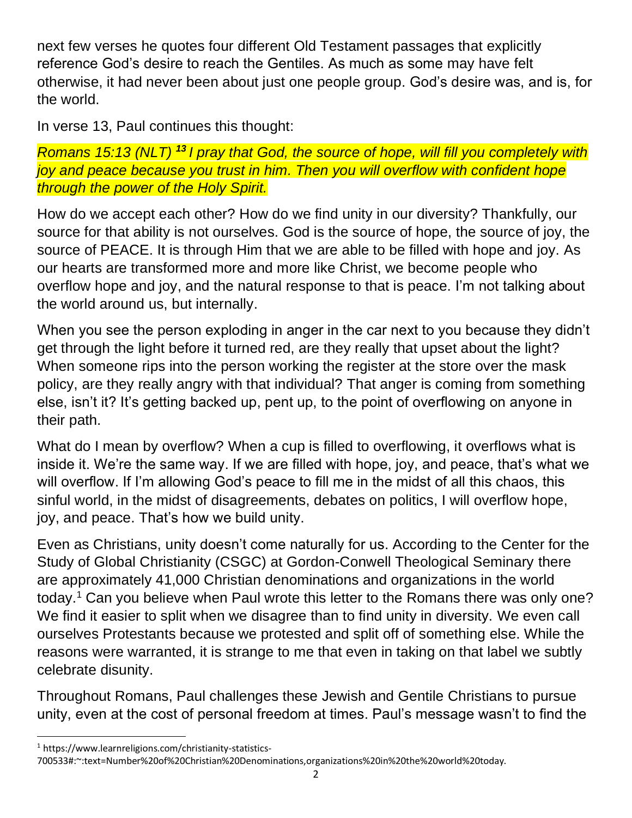next few verses he quotes four different Old Testament passages that explicitly reference God's desire to reach the Gentiles. As much as some may have felt otherwise, it had never been about just one people group. God's desire was, and is, for the world.

In verse 13, Paul continues this thought:

*Romans 15:13 (NLT) <sup>13</sup> I pray that God, the source of hope, will fill you completely with joy and peace because you trust in him. Then you will overflow with confident hope through the power of the Holy Spirit.*

How do we accept each other? How do we find unity in our diversity? Thankfully, our source for that ability is not ourselves. God is the source of hope, the source of joy, the source of PEACE. It is through Him that we are able to be filled with hope and joy. As our hearts are transformed more and more like Christ, we become people who overflow hope and joy, and the natural response to that is peace. I'm not talking about the world around us, but internally.

When you see the person exploding in anger in the car next to you because they didn't get through the light before it turned red, are they really that upset about the light? When someone rips into the person working the register at the store over the mask policy, are they really angry with that individual? That anger is coming from something else, isn't it? It's getting backed up, pent up, to the point of overflowing on anyone in their path.

What do I mean by overflow? When a cup is filled to overflowing, it overflows what is inside it. We're the same way. If we are filled with hope, joy, and peace, that's what we will overflow. If I'm allowing God's peace to fill me in the midst of all this chaos, this sinful world, in the midst of disagreements, debates on politics, I will overflow hope, joy, and peace. That's how we build unity.

Even as Christians, unity doesn't come naturally for us. According to the Center for the Study of Global Christianity (CSGC) at Gordon-Conwell Theological Seminary there are approximately 41,000 Christian denominations and organizations in the world today.<sup>1</sup> Can you believe when Paul wrote this letter to the Romans there was only one? We find it easier to split when we disagree than to find unity in diversity. We even call ourselves Protestants because we protested and split off of something else. While the reasons were warranted, it is strange to me that even in taking on that label we subtly celebrate disunity.

Throughout Romans, Paul challenges these Jewish and Gentile Christians to pursue unity, even at the cost of personal freedom at times. Paul's message wasn't to find the

<sup>1</sup> https://www.learnreligions.com/christianity-statistics-700533#:~:text=Number%20of%20Christian%20Denominations,organizations%20in%20the%20world%20today.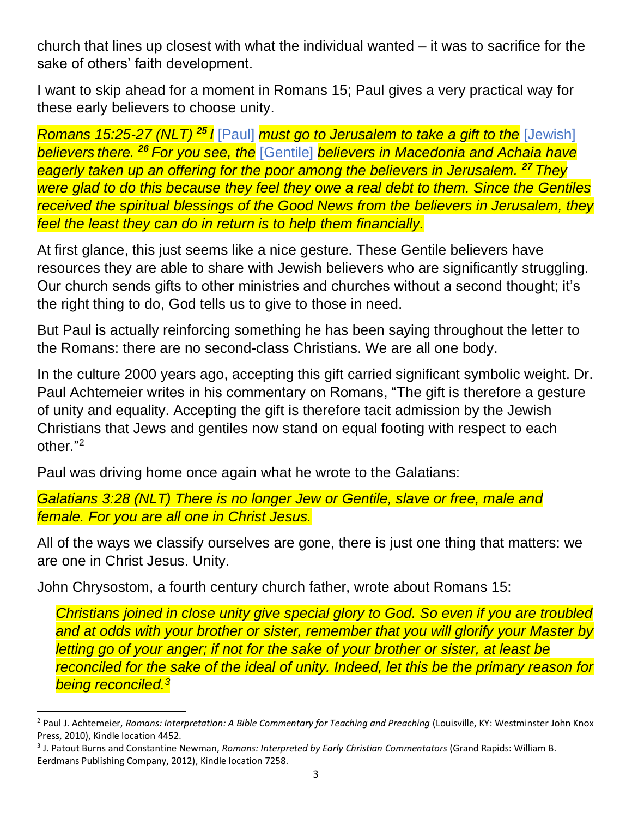church that lines up closest with what the individual wanted – it was to sacrifice for the sake of others' faith development.

I want to skip ahead for a moment in Romans 15; Paul gives a very practical way for these early believers to choose unity.

*Romans 15:25-27 (NLT) <sup>25</sup> I* [Paul] *must go to Jerusalem to take a gift to the* [Jewish] *believers there. <sup>26</sup> For you see, the* [Gentile] *believers in Macedonia and Achaia have eagerly taken up an offering for the poor among the believers in Jerusalem. <sup>27</sup> They were glad to do this because they feel they owe a real debt to them. Since the Gentiles received the spiritual blessings of the Good News from the believers in Jerusalem, they feel the least they can do in return is to help them financially.*

At first glance, this just seems like a nice gesture. These Gentile believers have resources they are able to share with Jewish believers who are significantly struggling. Our church sends gifts to other ministries and churches without a second thought; it's the right thing to do, God tells us to give to those in need.

But Paul is actually reinforcing something he has been saying throughout the letter to the Romans: there are no second-class Christians. We are all one body.

In the culture 2000 years ago, accepting this gift carried significant symbolic weight. Dr. Paul Achtemeier writes in his commentary on Romans, "The gift is therefore a gesture of unity and equality. Accepting the gift is therefore tacit admission by the Jewish Christians that Jews and gentiles now stand on equal footing with respect to each other." 2

Paul was driving home once again what he wrote to the Galatians:

*Galatians 3:28 (NLT) There is no longer Jew or Gentile, slave or free, male and female. For you are all one in Christ Jesus.*

All of the ways we classify ourselves are gone, there is just one thing that matters: we are one in Christ Jesus. Unity.

John Chrysostom, a fourth century church father, wrote about Romans 15:

*Christians joined in close unity give special glory to God. So even if you are troubled and at odds with your brother or sister, remember that you will glorify your Master by letting go of your anger; if not for the sake of your brother or sister, at least be reconciled for the sake of the ideal of unity. Indeed, let this be the primary reason for being reconciled.<sup>3</sup>*

<sup>2</sup> Paul J. Achtemeier, *Romans: Interpretation: A Bible Commentary for Teaching and Preaching* (Louisville, KY: Westminster John Knox Press, 2010), Kindle location 4452.

<sup>3</sup> J. Patout Burns and Constantine Newman, *Romans: Interpreted by Early Christian Commentators* (Grand Rapids: William B. Eerdmans Publishing Company, 2012), Kindle location 7258.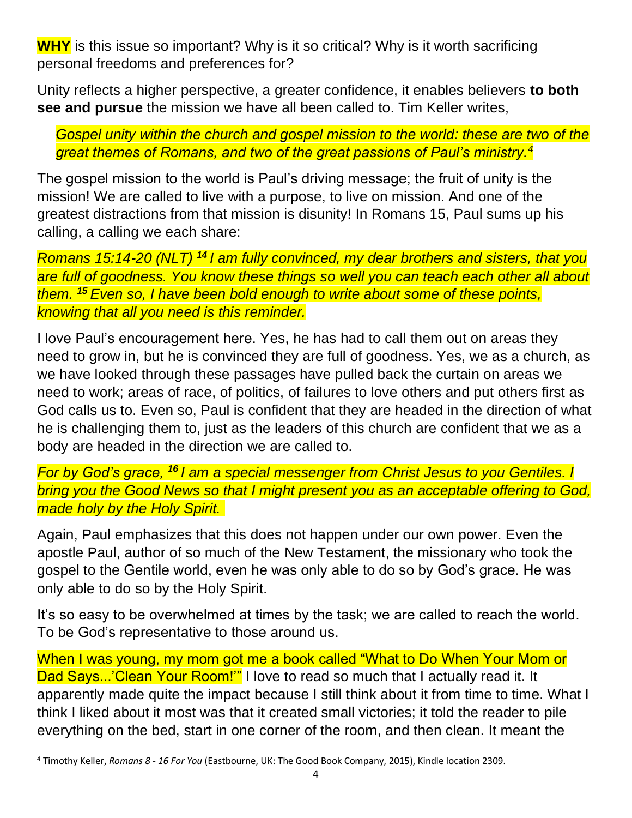**WHY** is this issue so important? Why is it so critical? Why is it worth sacrificing personal freedoms and preferences for?

Unity reflects a higher perspective, a greater confidence, it enables believers **to both see and pursue** the mission we have all been called to. Tim Keller writes,

*Gospel unity within the church and gospel mission to the world: these are two of the great themes of Romans, and two of the great passions of Paul's ministry.<sup>4</sup>*

The gospel mission to the world is Paul's driving message; the fruit of unity is the mission! We are called to live with a purpose, to live on mission. And one of the greatest distractions from that mission is disunity! In Romans 15, Paul sums up his calling, a calling we each share:

*Romans 15:14-20 (NLT) <sup>14</sup> I am fully convinced, my dear brothers and sisters, that you are full of goodness. You know these things so well you can teach each other all about them. <sup>15</sup> Even so, I have been bold enough to write about some of these points, knowing that all you need is this reminder.*

I love Paul's encouragement here. Yes, he has had to call them out on areas they need to grow in, but he is convinced they are full of goodness. Yes, we as a church, as we have looked through these passages have pulled back the curtain on areas we need to work; areas of race, of politics, of failures to love others and put others first as God calls us to. Even so, Paul is confident that they are headed in the direction of what he is challenging them to, just as the leaders of this church are confident that we as a body are headed in the direction we are called to.

*For by God's grace, <sup>16</sup> I am a special messenger from Christ Jesus to you Gentiles. I bring you the Good News so that I might present you as an acceptable offering to God, made holy by the Holy Spirit.*

Again, Paul emphasizes that this does not happen under our own power. Even the apostle Paul, author of so much of the New Testament, the missionary who took the gospel to the Gentile world, even he was only able to do so by God's grace. He was only able to do so by the Holy Spirit.

It's so easy to be overwhelmed at times by the task; we are called to reach the world. To be God's representative to those around us.

When I was young, my mom got me a book called "What to Do When Your Mom or Dad Says...'Clean Your Room!" I love to read so much that I actually read it. It apparently made quite the impact because I still think about it from time to time. What I think I liked about it most was that it created small victories; it told the reader to pile everything on the bed, start in one corner of the room, and then clean. It meant the

<sup>4</sup> Timothy Keller, *Romans 8 - 16 For You* (Eastbourne, UK: The Good Book Company, 2015), Kindle location 2309.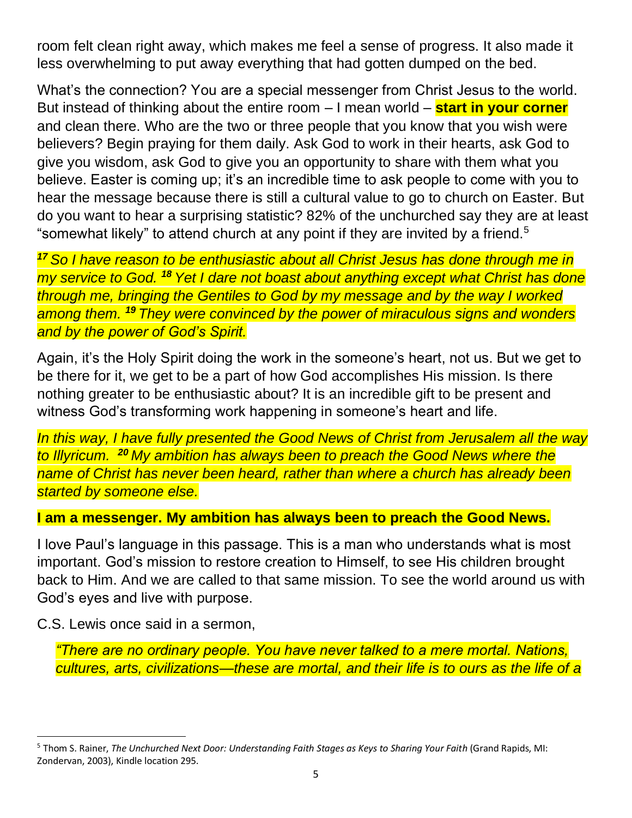room felt clean right away, which makes me feel a sense of progress. It also made it less overwhelming to put away everything that had gotten dumped on the bed.

What's the connection? You are a special messenger from Christ Jesus to the world. But instead of thinking about the entire room – I mean world – **start in your corner** and clean there. Who are the two or three people that you know that you wish were believers? Begin praying for them daily. Ask God to work in their hearts, ask God to give you wisdom, ask God to give you an opportunity to share with them what you believe. Easter is coming up; it's an incredible time to ask people to come with you to hear the message because there is still a cultural value to go to church on Easter. But do you want to hear a surprising statistic? 82% of the unchurched say they are at least "somewhat likely" to attend church at any point if they are invited by a friend.<sup>5</sup>

*<sup>17</sup> So I have reason to be enthusiastic about all Christ Jesus has done through me in my service to God. <sup>18</sup> Yet I dare not boast about anything except what Christ has done through me, bringing the Gentiles to God by my message and by the way I worked among them. <sup>19</sup> They were convinced by the power of miraculous signs and wonders and by the power of God's Spirit.*

Again, it's the Holy Spirit doing the work in the someone's heart, not us. But we get to be there for it, we get to be a part of how God accomplishes His mission. Is there nothing greater to be enthusiastic about? It is an incredible gift to be present and witness God's transforming work happening in someone's heart and life.

*In this way, I have fully presented the Good News of Christ from Jerusalem all the way to Illyricum. <sup>20</sup> My ambition has always been to preach the Good News where the name of Christ has never been heard, rather than where a church has already been started by someone else.*

## **I am a messenger. My ambition has always been to preach the Good News.**

I love Paul's language in this passage. This is a man who understands what is most important. God's mission to restore creation to Himself, to see His children brought back to Him. And we are called to that same mission. To see the world around us with God's eyes and live with purpose.

C.S. Lewis once said in a sermon,

*"There are no ordinary people. You have never talked to a mere mortal. Nations, cultures, arts, civilizations—these are mortal, and their life is to ours as the life of a* 

<sup>5</sup> Thom S. Rainer, *The Unchurched Next Door: Understanding Faith Stages as Keys to Sharing Your Faith* (Grand Rapids, MI: Zondervan, 2003), Kindle location 295.